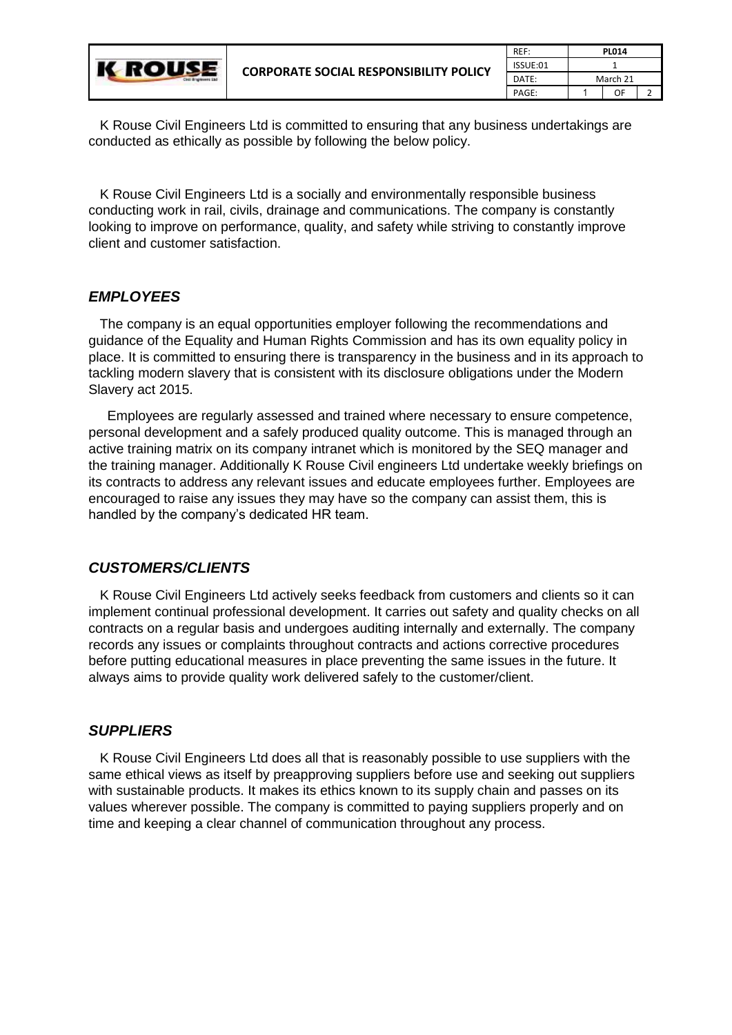| Castl Brighteens Ltd. | <b>CORPORATE SOCIAL RESPONSIBILITY POLICY</b> | REF:     | <b>PL014</b> |    |  |
|-----------------------|-----------------------------------------------|----------|--------------|----|--|
|                       |                                               | ISSUE:01 |              |    |  |
|                       |                                               | DATE:    | March 21     |    |  |
|                       |                                               | PAGE:    |              | OF |  |

 K Rouse Civil Engineers Ltd is committed to ensuring that any business undertakings are conducted as ethically as possible by following the below policy.

 K Rouse Civil Engineers Ltd is a socially and environmentally responsible business conducting work in rail, civils, drainage and communications. The company is constantly looking to improve on performance, quality, and safety while striving to constantly improve client and customer satisfaction.

## *EMPLOYEES*

 The company is an equal opportunities employer following the recommendations and guidance of the Equality and Human Rights Commission and has its own equality policy in place. It is committed to ensuring there is transparency in the business and in its approach to tackling modern slavery that is consistent with its disclosure obligations under the Modern Slavery act 2015.

 Employees are regularly assessed and trained where necessary to ensure competence, personal development and a safely produced quality outcome. This is managed through an active training matrix on its company intranet which is monitored by the SEQ manager and the training manager. Additionally K Rouse Civil engineers Ltd undertake weekly briefings on its contracts to address any relevant issues and educate employees further. Employees are encouraged to raise any issues they may have so the company can assist them, this is handled by the company's dedicated HR team.

## *CUSTOMERS/CLIENTS*

 K Rouse Civil Engineers Ltd actively seeks feedback from customers and clients so it can implement continual professional development. It carries out safety and quality checks on all contracts on a regular basis and undergoes auditing internally and externally. The company records any issues or complaints throughout contracts and actions corrective procedures before putting educational measures in place preventing the same issues in the future. It always aims to provide quality work delivered safely to the customer/client.

## *SUPPLIERS*

 K Rouse Civil Engineers Ltd does all that is reasonably possible to use suppliers with the same ethical views as itself by preapproving suppliers before use and seeking out suppliers with sustainable products. It makes its ethics known to its supply chain and passes on its values wherever possible. The company is committed to paying suppliers properly and on time and keeping a clear channel of communication throughout any process.